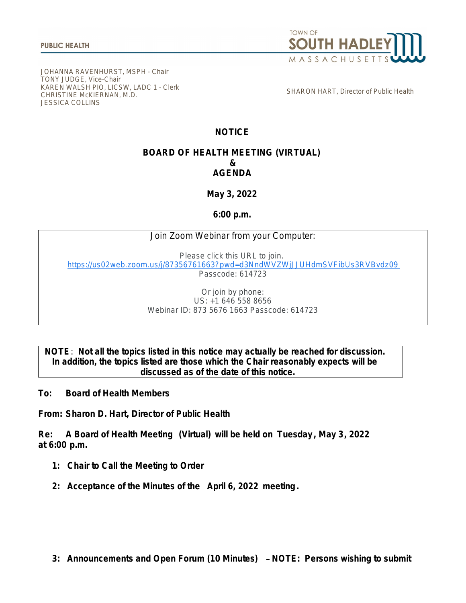

JOHANNA RAVENHURST, MSPH - Chair TONY JUDGE, Vice-Chair KAREN WALSH PIO, LICSW, LADC 1 - Clerk CHRISTINE McKIERNAN, M.D. JESSICA COLLINS

SHARON HART, Director of Public Health

## **NOTICE**

## **BOARD OF HEALTH MEETING (VIRTUAL) & AGENDA**

**May 3, 2022**

**6:00 p.m.**

## Join Zoom Webinar from your Computer:

Please click this URL to join. [https://us02web.zoom.us/j/87356761663?pwd=d3NndWVZWjJJUHdmSVFibUs3RVBvdz09](https://www.google.com/url?q=https://us02web.zoom.us/j/87356761663?pwd%3Dd3NndWVZWjJJUHdmSVFibUs3RVBvdz09&sa=D&source=calendar&ust=1651498808854956&usg=AOvVaw068hYjid71fdcdEgY05fqr) Passcode: 614723

> Or join by phone: US: +1 646 558 8656 Webinar ID: 873 5676 1663 Passcode: 614723

## **NOTE**: **Not all the topics listed in this notice may actually be reached for discussion. In addition, the topics listed are those which the Chair reasonably expects will be discussed as of the date of this notice.**

**To: Board of Health Members**

**From: Sharon D. Hart, Director of Public Health**

**Re: A Board of Health Meeting (Virtual) will be held on Tuesday , May 3, 2022 at 6:00 p.m.**

- **1: Chair to Call the Meeting to Order**
- **2: Acceptance of the Minutes of the April 6, 2022 meeting.**